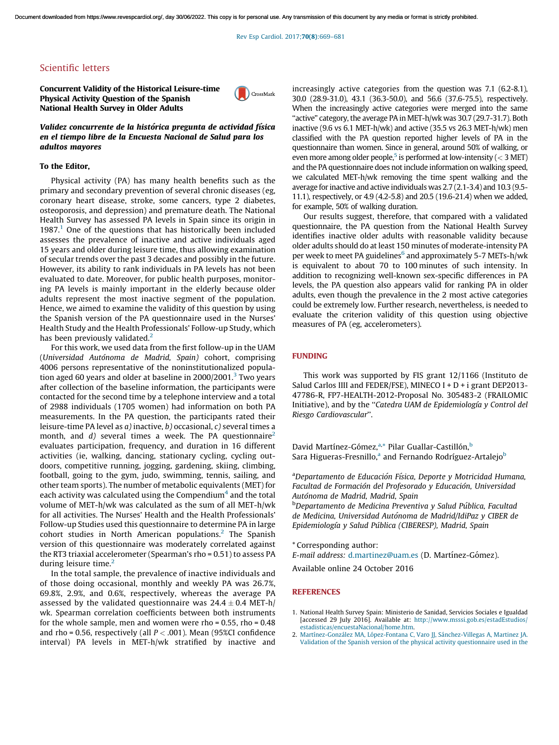Rev Esp Cardiol. 2017;70(8)[:669–681](http://dx.doi.org/10.1016/j.rec.2016.09.019)

# Scientific letters

Concurrent Validity of the Historical Leisure-time Physical Activity Question of the Spanish National Health Survey in Older Adults



Validez concurrente de la histórica pregunta de actividad física en el tiempo libre de la Encuesta Nacional de Salud para los adultos mayores

#### To the Editor,

Physical activity (PA) has many health benefits such as the primary and secondary prevention of several chronic diseases (eg, coronary heart disease, stroke, some cancers, type 2 diabetes, osteoporosis, and depression) and premature death. The National Health Survey has assessed PA levels in Spain since its origin in 1987.<sup>1</sup> One of the questions that has historically been included assesses the prevalence of inactive and active individuals aged 15 years and older during leisure time, thus allowing examination of secular trends over the past 3 decades and possibly in the future. However, its ability to rank individuals in PA levels has not been evaluated to date. Moreover, for public health purposes, monitoring PA levels is mainly important in the elderly because older adults represent the most inactive segment of the population. Hence, we aimed to examine the validity of this question by using the Spanish version of the PA questionnaire used in the Nurses' Health Study and the Health Professionals' Follow-up Study, which has been previously validated. $<sup>2</sup>$ </sup>

For this work, we used data from the first follow-up in the UAM (*Universidad Auto´noma de Madrid, Spain)* cohort, comprising 4006 persons representative of the noninstitutionalized popula-tion aged 60 years and older at baseline in 2000/2001.<sup>[3](#page-1-0)</sup> Two years after collection of the baseline information, the participants were contacted for the second time by a telephone interview and a total of 2988 individuals (1705 women) had information on both PA measurements. In the PA question, the participants rated their leisure-time PA level as *a)* inactive, *b)* occasional, *c)* several times a month, and *d*) several times a week. The PA questionnaire<sup>2</sup> evaluates participation, frequency, and duration in 16 different activities (ie, walking, dancing, stationary cycling, cycling outdoors, competitive running, jogging, gardening, skiing, climbing, football, going to the gym, judo, swimming, tennis, sailing, and other team sports). The number of metabolic equivalents (MET) for each activity was calculated using the Compendium $^4$  $^4$  and the total volume of MET-h/wk was calculated as the sum of all MET-h/wk for all activities. The Nurses' Health and the Health Professionals' Follow-up Studies used this questionnaire to determine PA in large cohort studies in North American populations.<sup>2</sup> The Spanish version of this questionnaire was moderately correlated against the RT3 triaxial accelerometer (Spearman's rho = 0.51) to assess PA during leisure time.<sup>2</sup>

In the total sample, the prevalence of inactive individuals and of those doing occasional, monthly and weekly PA was 26.7%, 69.8%, 2.9%, and 0.6%, respectively, whereas the average PA assessed by the validated questionnaire was  $24.4 \pm 0.4$  MET-h/ wk. Spearman correlation coefficients between both instruments for the whole sample, men and women were rho =  $0.55$ , rho =  $0.48$ and rho = 0.56, respectively (all  $P < .001$ ). Mean (95%CI confidence interval) PA levels in MET-h/wk stratified by inactive and increasingly active categories from the question was 7.1 (6.2-8.1), 30.0 (28.9-31.0), 43.1 (36.3-50.0), and 56.6 (37.6-75.5), respectively. When the increasingly active categories were merged into the same "active" category, the average PA in MET-h/wk was 30.7 (29.7-31.7). Both inactive (9.6 vs 6.1 MET-h/wk) and active (35.5 vs 26.3 MET-h/wk) men classified with the PA question reported higher levels of PA in the questionnaire than women. Since in general, around 50% of walking, or even more among older people, $^5$  $^5$  is performed at low-intensity (  $<$  3 MET) and the PA questionnaire does not include information on walking speed, we calculated MET-h/wk removing the time spent walking and the average for inactive and active individuals was 2.7 (2.1-3.4) and 10.3 (9.5- 11.1), respectively, or 4.9 (4.2-5.8) and 20.5 (19.6-21.4) when we added, for example, 50% of walking duration.

Our results suggest, therefore, that compared with a validated questionnaire, the PA question from the National Health Survey identifies inactive older adults with reasonable validity because older adults should do atleast 150 minutes of moderate-intensity PA per week to meet PA guidelines<sup>[6](#page-1-0)</sup> and approximately 5-7 METs-h/wk is equivalent to about 70 to 100 minutes of such intensity. In addition to recognizing well-known sex-specific differences in PA levels, the PA question also appears valid for ranking PA in older adults, even though the prevalence in the 2 most active categories could be extremely low. Further research, nevertheless, is needed to evaluate the criterion validity of this question using objective measures of PA (eg, accelerometers).

## FUNDING

This work was supported by FIS grant 12/1166 (Instituto de Salud Carlos IIII and FEDER/FSE), MINECO I + D + i grant DEP2013-47786-R, FP7-HEALTH-2012-Proposal No. 305483-2 (FRAILOMIC Initiative), and by the ''*Catedra UAM de Epidemiologı´a y Control del Riesgo Cardiovascular*''.

David Martínez-Gómez,<sup>a,\*</sup> Pilar Guallar-Castillón,<sup>b</sup> Sara Higueras-Fresnillo,<sup>a</sup> and Fernando Rodríguez-Artalejo<sup>b</sup>

<sup>a</sup>*Departamento de Educacio´n Fı´sica, Deporte y Motricidad Humana, Facultad de Formacio´n del Profesorado y Educacio´n, Universidad Auto´noma de Madrid, Madrid, Spain*

<sup>b</sup>*Departamento de Medicina Preventiva y Salud Pu´blica, Facultad de Medicina, Universidad Auto´noma de Madrid/IdiPaz y CIBER de Epidemiologı´a y Salud Pu´blica (CIBERESP), Madrid, Spain*

\* Corresponding author:

*E-mail address: [d.martinez@uam.es](mailto:d.martinez@uam.es) (D. Martínez-Gómez).* 

Available online 24 October 2016

#### **REFERENCES**

- 1. National Health Survey Spain: Ministerio de Sanidad, Servicios Sociales e Igualdad [accessed 29 July 2016]. Available at: [http://www.msssi.gob.es/estadEstudios/](http://www.msssi.gob.es/estadEstudios/estadisticas/encuestaNacional/home.htm) [estadisticas/encuestaNacional/home.htm.](http://www.msssi.gob.es/estadEstudios/estadisticas/encuestaNacional/home.htm)
- 2. Martínez-González MA, López-Fontana C, Varo JJ, Sánchez-Villegas A, Martinez JA. Validation of the Spanish version of the physical activity [questionnaire](http://refhub.elsevier.com/S1885-5857(16)30284-5/sbref0040) used in the